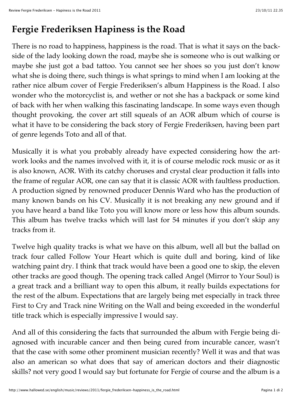## **Fergie Frederiksen Hapiness is the Road**

There is no road to happiness, happiness is the road. That is what it says on the backside of the lady looking down the road, maybe she is someone who is out walking or maybe she just got a bad tattoo. You cannot see her shoes so you just don't know what she is doing there, such things is what springs to mind when I am looking at the rather nice album cover of Fergie Frederiksen's album Happiness is the Road. I also wonder who the motorcyclist is, and wether or not she has a backpack or some kind of back with her when walking this fascinating landscape. In some ways even though thought provoking, the cover art still squeals of an AOR album which of course is what it have to be considering the back story of Fergie Frederiksen, having been part of genre legends Toto and all of that.

Musically it is what you probably already have expected considering how the artwork looks and the names involved with it, it is of course melodic rock music or as it is also known, AOR. With its catchy choruses and crystal clear production it falls into the frame of regular AOR, one can say that it is classic AOR with faultless production. A production signed by renowned producer Dennis Ward who has the production of many known bands on his CV. Musically it is not breaking any new ground and if you have heard a band like Toto you will know more or less how this album sounds. This album has twelve tracks which will last for 54 minutes if you don't skip any tracks from it.

Twelve high quality tracks is what we have on this album, well all but the ballad on track four called Follow Your Heart which is quite dull and boring, kind of like watching paint dry. I think that track would have been a good one to skip, the eleven other tracks are good though. The opening track called Angel (Mirror to Your Soul) is a great track and a brilliant way to open this album, it really builds expectations for the rest of the album. Expectations that are largely being met especially in track three First to Cry and Track nine Writing on the Wall and being exceeded in the wonderful title track which is especially impressive I would say.

And all of this considering the facts that surrounded the album with Fergie being diagnosed with incurable cancer and then being cured from incurable cancer, wasn't that the case with some other prominent musician recently? Well it was and that was also an american so what does that say of american doctors and their diagnostic skills? not very good I would say but fortunate for Fergie of course and the album is a